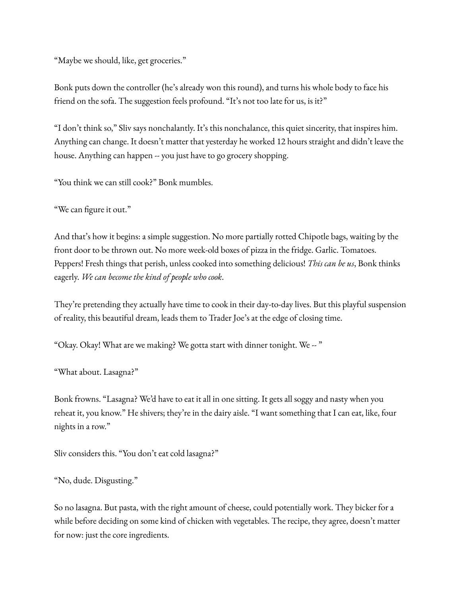"Maybe we should, like, get groceries."

Bonk puts down the controller (he's already won this round), and turns his whole body to face his friend on the sofa. The suggestion feels profound. "It's not too late for us, is it?"

"I don't think so," Sliv says nonchalantly. It's this nonchalance, this quiet sincerity, that inspires him. Anything can change. It doesn't matter that yesterday he worked 12 hours straight and didn't leave the house. Anything can happen -- you just have to go grocery shopping.

"You think we can still cook?" Bonk mumbles.

"We can figure it out."

And that's how it begins: a simple suggestion. No more partially rotted Chipotle bags, waiting by the front door to be thrown out. No more week-old boxes of pizza in the fridge. Garlic. Tomatoes. Peppers! Fresh things that perish, unless cooked into something delicious! *This can be us*, Bonk thinks eagerly. *We can become the kind of people who cook*.

They're pretending they actually have time to cook in their day-to-day lives. But this playful suspension of reality, this beautiful dream, leads them to Trader Joe's at the edge of closing time.

"Okay. Okay! What are we making? We gotta start with dinner tonight. We -- "

"What about. Lasagna?"

Bonk frowns. "Lasagna? We'd have to eat it all in one sitting. It gets all soggy and nasty when you reheat it, you know." He shivers; they're in the dairy aisle. "I want something that I can eat, like, four nights in a row."

Sliv considers this. "You don't eat cold lasagna?"

"No, dude. Disgusting."

So no lasagna. But pasta, with the right amount of cheese, could potentially work. They bicker for a while before deciding on some kind of chicken with vegetables. The recipe, they agree, doesn't matter for now: just the core ingredients.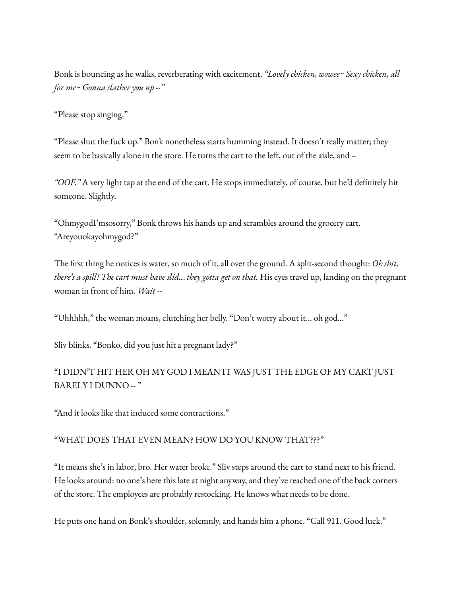Bonk is bouncing as he walks, reverberating with excitement. *"Lovely chicken, wowee~ Sexy chicken, all for me~ Gonna slather you up --"*

"Please stop singing."

"Please shut the fuck up." Bonk nonetheless starts humming instead. It doesn't really matter; they seem to be basically alone in the store. He turns the cart to the left, out of the aisle, and --

*"OOF."* A very light tap at the end of the cart. He stops immediately, of course, but he'd definitely hit someone. Slightly.

"OhmygodI'msosorry," Bonk throws his hands up and scrambles around the grocery cart. "Areyouokayohmygod?"

The first thing he notices is water, so much of it, all over the ground. A split-second thought: *Oh shit, there's a spill! The cart must have slid..*. *they gotta get on that.* His eyes travel up, landing on the pregnant woman in front of him. *Wait --*

"Uhhhhh," the woman moans, clutching her belly. "Don't worry about it... oh god..."

Sliv blinks. "Bonko, did you just hit a pregnant lady?"

## "I DIDN'T HIT HER OH MY GOD I MEAN IT WAS JUST THE EDGE OF MY CART JUST BARELY I DUNNO -- "

"And it looks like that induced some contractions."

## "WHAT DOES THAT EVEN MEAN? HOW DO YOU KNOW THAT???"

"It means she's in labor, bro. Her water broke." Sliv steps around the cart to stand next to his friend. He looks around: no one's here this late at night anyway, and they've reached one of the back corners of the store. The employees are probably restocking. He knows what needs to be done.

He puts one hand on Bonk's shoulder, solemnly, and hands him a phone. "Call 911. Good luck."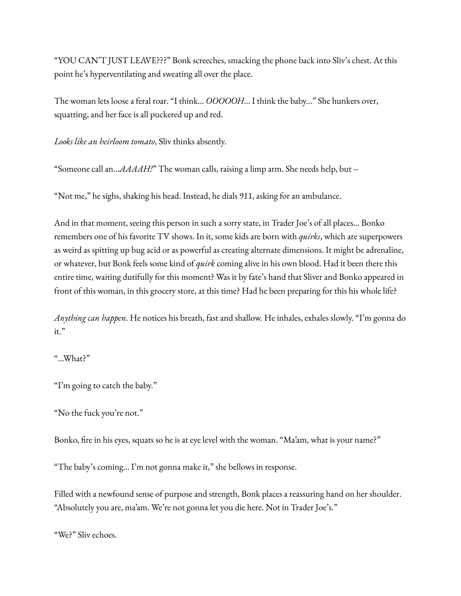"YOU CAN'T JUST LEAVE???" Bonk screeches, smacking the phone back into Sliv's chest. At this point he's hyperventilating and sweating all over the place.

The woman lets loose a feral roar. "I think... *OOOOOH*... I think the baby..." She hunkers over, squatting, and her face is all puckered up and red.

*Looks like an heirloom tomato*, Sliv thinks absently.

"Someone call an...*AAAAH!*" The woman calls, raising a limp arm. She needs help, but --

"Not me," he sighs, shaking his head. Instead, he dials 911, asking for an ambulance.

And in that moment, seeing this person in such a sorry state, in Trader Joe's of all places... Bonko remembers one of his favorite TV shows. In it, some kids are born with *quirks*, which are superpowers as weird as spitting up bug acid or as powerful as creating alternate dimensions. It might be adrenaline, or whatever, but Bonk feels some kind of *quirk* coming alive in his own blood. Had it been there this entire time, waiting dutifully for this moment? Was it by fate's hand that Sliver and Bonko appeared in front of this woman, in this grocery store, at this time? Had he been preparing for this his whole life?

*Anything can happen*. He notices his breath, fast and shallow. He inhales, exhales slowly. "I'm gonna do it."

## "...What?"

"I'm going to catch the baby."

"No the fuck you're not."

Bonko, fire in his eyes, squats so he is at eye level with the woman. "Ma'am, what is your name?"

"The baby's coming... I'm not gonna make it," she bellows in response.

Filled with a newfound sense of purpose and strength, Bonk places a reassuring hand on her shoulder. "Absolutely you are, ma'am. We're not gonna let you die here. Not in Trader Joe's."

"We?" Sliv echoes.